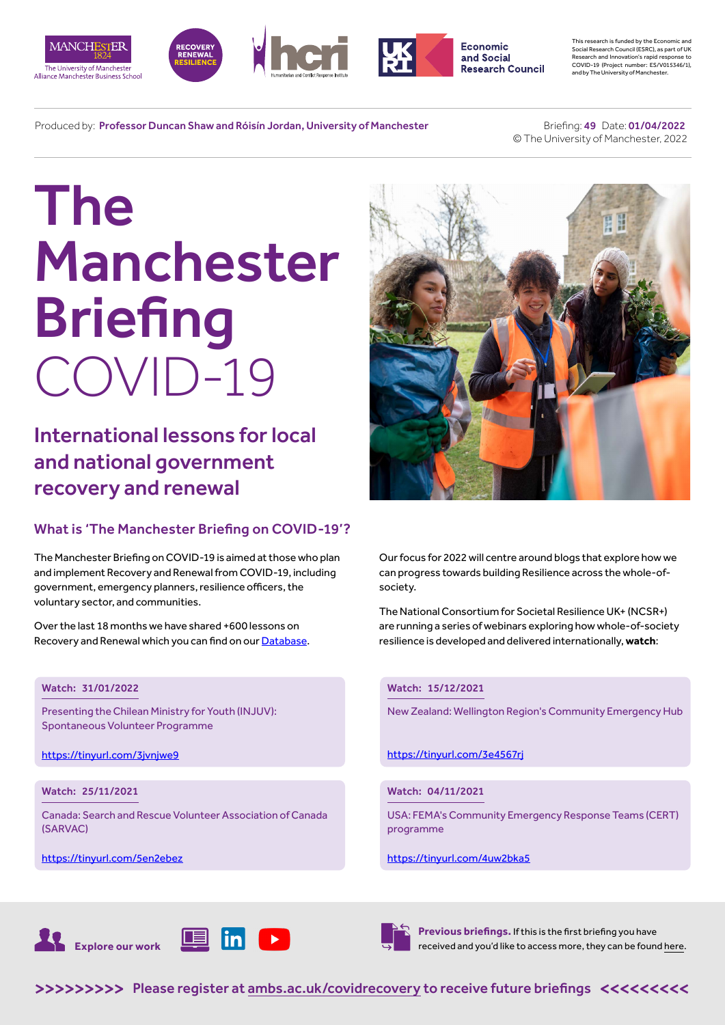







**Economic** and Social **Research Council**  This research is funded by the Economic and Social Research Council (ESRC), as part of UK Research and Innovation's rapid response to COVID-19 (Project number: ES/V015346/1), and by The University of Manchester.

Produced by: Professor Duncan Shaw and Róisín Jordan, University of Manchester

 Briefing: 49 Date: 01/04/2022 © The University of Manchester, 2022

# The Manchester **Briefing** COVID-19

International lessons for local and national government recovery and renewal

# What is 'The Manchester Briefing on COVID-19'?

The Manchester Briefing on COVID-19 is aimed at those who plan and implement Recovery and Renewal from COVID-19, including government, emergency planners, resilience officers, the voluntary sector, and communities.

Over the last 18 months we have shared +600 lessons on Recovery and Renewal which you can find on our [Database](https://recoverydatabase.manchester.ac.uk/lessons/).

# Watch: 31/01/2022

Presenting the Chilean Ministry for Youth (INJUV): Spontaneous Volunteer Programme

<https://tinyurl.com/3jvnjwe9>

# Watch: 25/11/2021

Canada: Search and Rescue Volunteer Association of Canada (SARVAC)

<https://tinyurl.com/5en2ebez>



Our focus for 2022 will centre around blogs that explore how we can progress towards building Resilience across the whole-ofsociety.

The National Consortium for Societal Resilience UK+ (NCSR+) are running a series of webinars exploring how whole-of-society resilience is developed and delivered internationally, **watch**:

# Watch: 15/12/2021

New Zealand: Wellington Region's Community Emergency Hub

<https://tinyurl.com/3e4567rj>

# Watch: 04/11/2021

USA: FEMA's Community Emergency Response Teams (CERT) programme

#### https://tinyurl.com/4uw2bka5





**Previous briefings.** If this is the first briefing you have received and you'd like to access more, they can be found [here](https://www.alliancembs.manchester.ac.uk/research/recovery-renewal-resilience-from-covid-19/briefings/).

>>>>>>>>> [Please register at ambs.ac.uk/covidrecovery to receive future briefings](https://www.alliancembs.manchester.ac.uk/research/recovery-renewal-resilience-from-covid-19/) <<<<<<<<<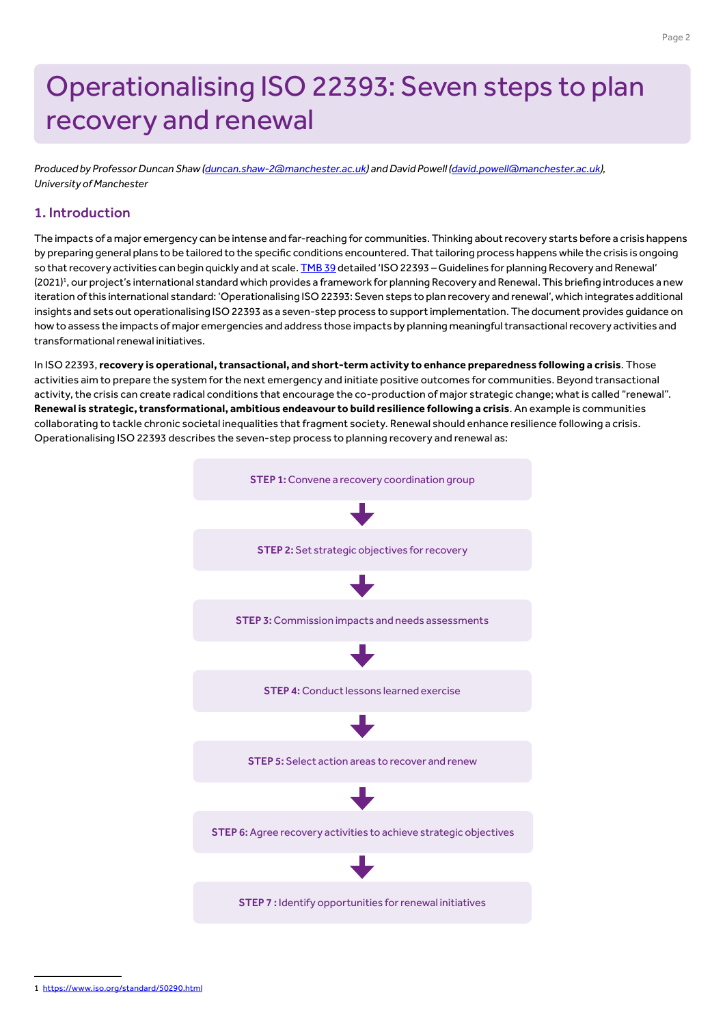# Operationalising ISO 22393: Seven steps to plan recovery and renewal

*Produced by Professor Duncan Shaw [\(duncan.shaw-2@manchester.ac.uk\)](mailto:duncan.shaw-2%40manchester.ac.uk?subject=) and David Powell [\(david.powell@manchester.ac.uk](mailto:david.powell%40manchester.ac.uk?subject=)), University of Manchester*

# 1. Introduction

The impacts of a major emergency can be intense and far-reaching for communities. Thinking about recovery starts before a crisis happens by preparing general plans to be tailored to the specific conditions encountered. That tailoring process happens while the crisis is ongoing so that recovery activities can begin quickly and at scale. [TMB 39](https://www.alliancembs.manchester.ac.uk/media/ambs/content-assets/documents/news/the-manchester-briefing-on-covid-19-b39-wb-5th-july-2021.pdf) detailed 'ISO 22393 – Guidelines for planning Recovery and Renewal' (2021)<sup>1</sup>, our project's international standard which provides a framework for planning Recovery and Renewal. This briefing introduces a new iteration of this international standard: 'Operationalising ISO 22393: Seven steps to plan recovery and renewal', which integrates additional insights and sets out operationalising ISO 22393 as a seven-step process to support implementation. The document provides guidance on how to assess the impacts of major emergencies and address those impacts by planning meaningful transactional recovery activities and transformational renewal initiatives.

In ISO 22393, **recovery is operational, transactional, and short-term activity to enhance preparedness following a crisis**. Those activities aim to prepare the system for the next emergency and initiate positive outcomes for communities. Beyond transactional activity, the crisis can create radical conditions that encourage the co-production of major strategic change; what is called "renewal". **Renewal is strategic, transformational, ambitious endeavour to build resilience following a crisis**. An example is communities collaborating to tackle chronic societal inequalities that fragment society. Renewal should enhance resilience following a crisis. Operationalising ISO 22393 describes the seven-step process to planning recovery and renewal as:



1 <https://www.iso.org/standard/50290.html>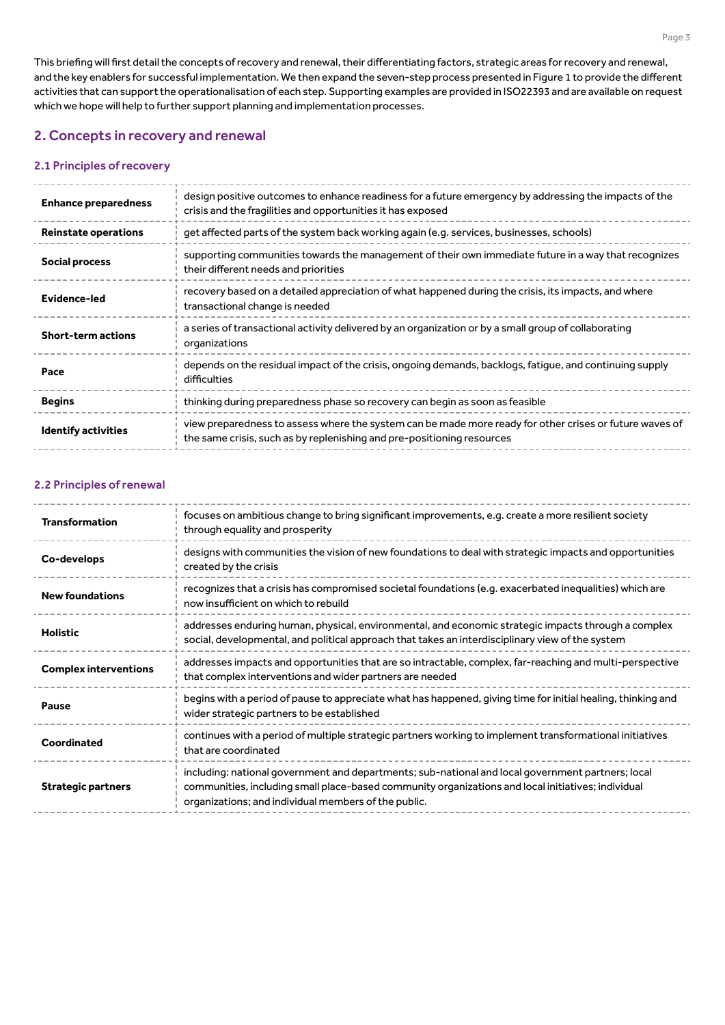This briefing will first detail the concepts of recovery and renewal, their differentiating factors, strategic areas for recovery and renewal, and the key enablers for successful implementation. We then expand the seven-step process presented in Figure 1 to provide the different activities that can support the operationalisation of each step. Supporting examples are provided in ISO22393 and are available on request which we hope will help to further support planning and implementation processes.

# 2. Concepts in recovery and renewal

## 2.1 Principles of recovery

| <b>Enhance preparedness</b> | design positive outcomes to enhance readiness for a future emergency by addressing the impacts of the<br>crisis and the fragilities and opportunities it has exposed              |
|-----------------------------|-----------------------------------------------------------------------------------------------------------------------------------------------------------------------------------|
| <b>Reinstate operations</b> | get affected parts of the system back working again (e.g. services, businesses, schools)                                                                                          |
| <b>Social process</b>       | supporting communities towards the management of their own immediate future in a way that recognizes<br>their different needs and priorities                                      |
| <b>Evidence-led</b>         | recovery based on a detailed appreciation of what happened during the crisis, its impacts, and where<br>transactional change is needed                                            |
| <b>Short-term actions</b>   | a series of transactional activity delivered by an organization or by a small group of collaborating<br>organizations                                                             |
| Pace                        | depends on the residual impact of the crisis, ongoing demands, backlogs, fatigue, and continuing supply<br>difficulties                                                           |
| <b>Begins</b>               | thinking during preparedness phase so recovery can begin as soon as feasible                                                                                                      |
| <b>Identify activities</b>  | view preparedness to assess where the system can be made more ready for other crises or future waves of<br>the same crisis, such as by replenishing and pre-positioning resources |

## 2.2 Principles of renewal

| <b>Transformation</b>        | focuses on ambitious change to bring significant improvements, e.g. create a more resilient society<br>through equality and prosperity                                                                                                                          |
|------------------------------|-----------------------------------------------------------------------------------------------------------------------------------------------------------------------------------------------------------------------------------------------------------------|
| Co-develops                  | designs with communities the vision of new foundations to deal with strategic impacts and opportunities<br>created by the crisis                                                                                                                                |
| <b>New foundations</b>       | recognizes that a crisis has compromised societal foundations (e.g. exacerbated inequalities) which are<br>now insufficient on which to rebuild                                                                                                                 |
| <b>Holistic</b>              | addresses enduring human, physical, environmental, and economic strategic impacts through a complex<br>social, developmental, and political approach that takes an interdisciplinary view of the system                                                         |
| <b>Complex interventions</b> | addresses impacts and opportunities that are so intractable, complex, far-reaching and multi-perspective<br>that complex interventions and wider partners are needed                                                                                            |
| <b>Pause</b>                 | begins with a period of pause to appreciate what has happened, giving time for initial healing, thinking and<br>wider strategic partners to be established                                                                                                      |
| Coordinated                  | continues with a period of multiple strategic partners working to implement transformational initiatives<br>that are coordinated                                                                                                                                |
| <b>Strategic partners</b>    | including: national government and departments; sub-national and local government partners; local<br>communities, including small place-based community organizations and local initiatives; individual<br>organizations; and individual members of the public. |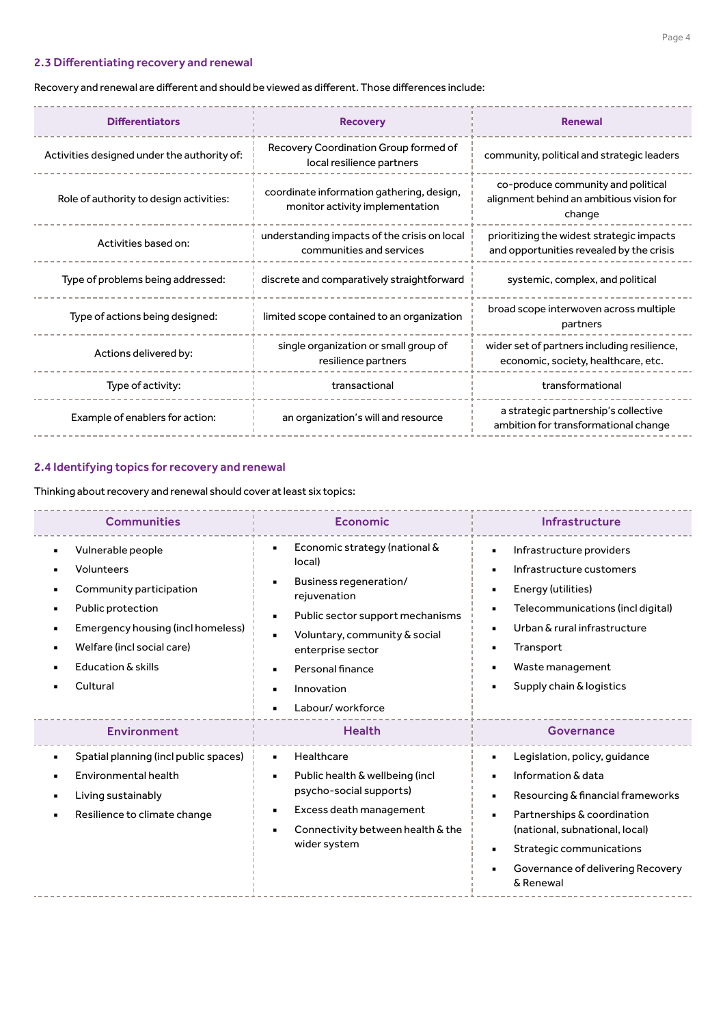# 2.3 Differentiating recovery and renewal

# Recovery and renewal are different and should be viewed as different. Those differences include:

| <b>Differentiators</b>                      | <b>Recovery</b>                                                              | <b>Renewal</b>                                                                           |
|---------------------------------------------|------------------------------------------------------------------------------|------------------------------------------------------------------------------------------|
| Activities designed under the authority of: | Recovery Coordination Group formed of<br>local resilience partners           | community, political and strategic leaders                                               |
| Role of authority to design activities:     | coordinate information gathering, design,<br>monitor activity implementation | co-produce community and political<br>alignment behind an ambitious vision for<br>change |
| Activities based on:                        | understanding impacts of the crisis on local<br>communities and services     | prioritizing the widest strategic impacts<br>and opportunities revealed by the crisis    |
| Type of problems being addressed:           | discrete and comparatively straightforward                                   | systemic, complex, and political                                                         |
| Type of actions being designed:             | limited scope contained to an organization                                   | broad scope interwoven across multiple<br>partners                                       |
| Actions delivered by:                       | single organization or small group of<br>resilience partners                 | wider set of partners including resilience,<br>economic, society, healthcare, etc.       |
| Type of activity:                           | transactional                                                                | transformational                                                                         |
| Example of enablers for action:             | an organization's will and resource                                          | a strategic partnership's collective<br>ambition for transformational change             |

# 2.4 Identifying topics for recovery and renewal

Thinking about recovery and renewal should cover at least six topics:

| <b>Communities</b>                                                                                                                                                                             | Economic                                                                                                                                                                                                                                                                        | Infrastructure                                                                                                                                                                                                                                                                                |
|------------------------------------------------------------------------------------------------------------------------------------------------------------------------------------------------|---------------------------------------------------------------------------------------------------------------------------------------------------------------------------------------------------------------------------------------------------------------------------------|-----------------------------------------------------------------------------------------------------------------------------------------------------------------------------------------------------------------------------------------------------------------------------------------------|
| Vulnerable people<br>Volunteers<br>Community participation<br>Public protection<br>٠<br>Emergency housing (incl homeless)<br>٠<br>Welfare (incl social care)<br>Education & skills<br>Cultural | Economic strategy (national &<br>$\blacksquare$<br>local)<br>Business regeneration/<br>rejuvenation<br>Public sector support mechanisms<br>$\blacksquare$<br>Voluntary, community & social<br>enterprise sector<br>Personal finance<br>Innovation<br>٠<br>Labour/workforce<br>٠ | Infrastructure providers<br>٠<br>Infrastructure customers<br>Energy (utilities)<br>٠<br>Telecommunications (incl digital)<br>Urban & rural infrastructure<br>Transport<br>Waste management<br>Supply chain & logistics                                                                        |
| <b>Environment</b>                                                                                                                                                                             | <b>Health</b>                                                                                                                                                                                                                                                                   | <b>Governance</b>                                                                                                                                                                                                                                                                             |
| Spatial planning (incl public spaces)<br>Environmental health<br>Living sustainably<br>Resilience to climate change                                                                            | Healthcare<br>$\blacksquare$<br>Public health & wellbeing (incl.<br>$\blacksquare$<br>psycho-social supports)<br>Excess death management<br>٠<br>Connectivity between health & the<br>wider system                                                                              | Legislation, policy, quidance<br>Information & data<br>$\blacksquare$<br>Resourcing & financial frameworks<br>Partnerships & coordination<br>$\blacksquare$<br>(national, subnational, local)<br>Strategic communications<br>$\blacksquare$<br>Governance of delivering Recovery<br>& Renewal |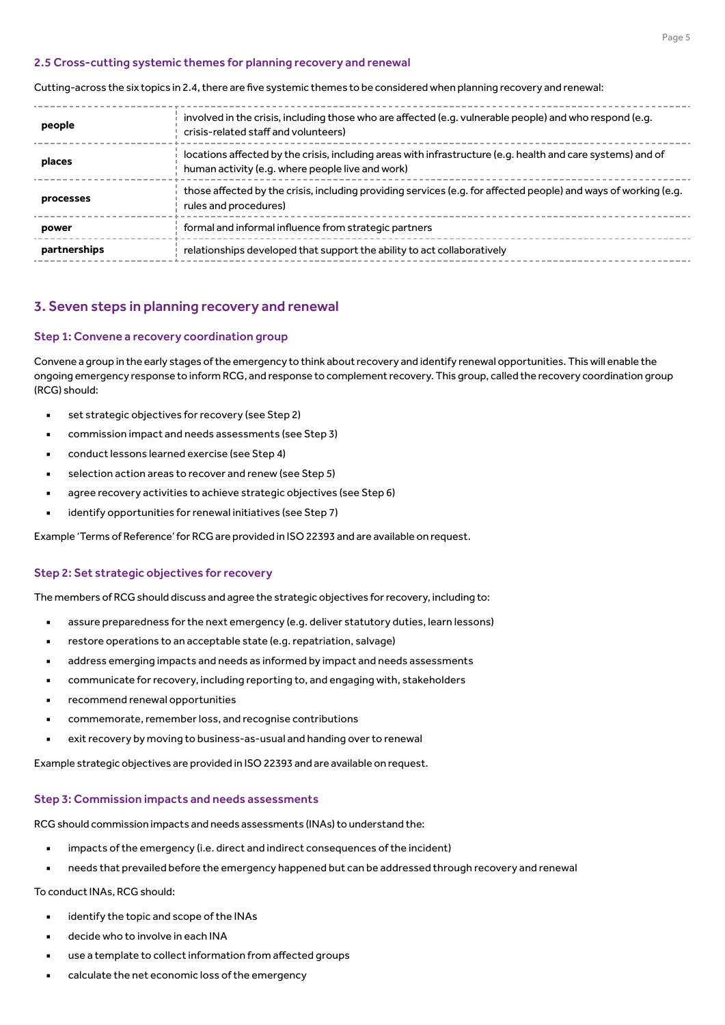#### 2.5 Cross-cutting systemic themes for planning recovery and renewal

Cutting-across the six topics in 2.4, there are five systemic themes to be considered when planning recovery and renewal:

| people       | involved in the crisis, including those who are affected (e.g. vulnerable people) and who respond (e.g.<br>crisis-related staff and volunteers)                 |
|--------------|-----------------------------------------------------------------------------------------------------------------------------------------------------------------|
| places       | locations affected by the crisis, including areas with infrastructure (e.g. health and care systems) and of<br>human activity (e.g. where people live and work) |
| processes    | those affected by the crisis, including providing services (e.g. for affected people) and ways of working (e.g.<br>rules and procedures)                        |
| power        | formal and informal influence from strategic partners                                                                                                           |
| partnerships | relationships developed that support the ability to act collaboratively                                                                                         |
|              |                                                                                                                                                                 |

#### 3. Seven steps in planning recovery and renewal

#### Step 1: Convene a recovery coordination group

Convene a group in the early stages of the emergency to think about recovery and identify renewal opportunities. This will enable the ongoing emergency response to inform RCG, and response to complement recovery. This group, called the recovery coordination group (RCG) should:

- set strategic objectives for recovery (see Step 2)
- commission impact and needs assessments (see Step 3)
- conduct lessons learned exercise (see Step 4)
- selection action areas to recover and renew (see Step 5)
- agree recovery activities to achieve strategic objectives (see Step 6)
- identify opportunities for renewal initiatives (see Step 7)

Example 'Terms of Reference' for RCG are provided in ISO 22393 and are available on request.

#### Step 2: Set strategic objectives for recovery

The members of RCG should discuss and agree the strategic objectives for recovery, including to:

- assure preparedness for the next emergency (e.g. deliver statutory duties, learn lessons)
- restore operations to an acceptable state (e.g. repatriation, salvage)
- address emerging impacts and needs as informed by impact and needs assessments
- communicate for recovery, including reporting to, and engaging with, stakeholders
- recommend renewal opportunities
- commemorate, remember loss, and recognise contributions
- exit recovery by moving to business-as-usual and handing over to renewal

Example strategic objectives are provided in ISO 22393 and are available on request.

#### Step 3: Commission impacts and needs assessments

RCG should commission impacts and needs assessments (INAs) to understand the:

- impacts of the emergency (i.e. direct and indirect consequences of the incident)
- needs that prevailed before the emergency happened but can be addressed through recovery and renewal

#### To conduct INAs, RCG should:

- identify the topic and scope of the INAs
- decide who to involve in each INA
- use a template to collect information from affected groups
- calculate the net economic loss of the emergency